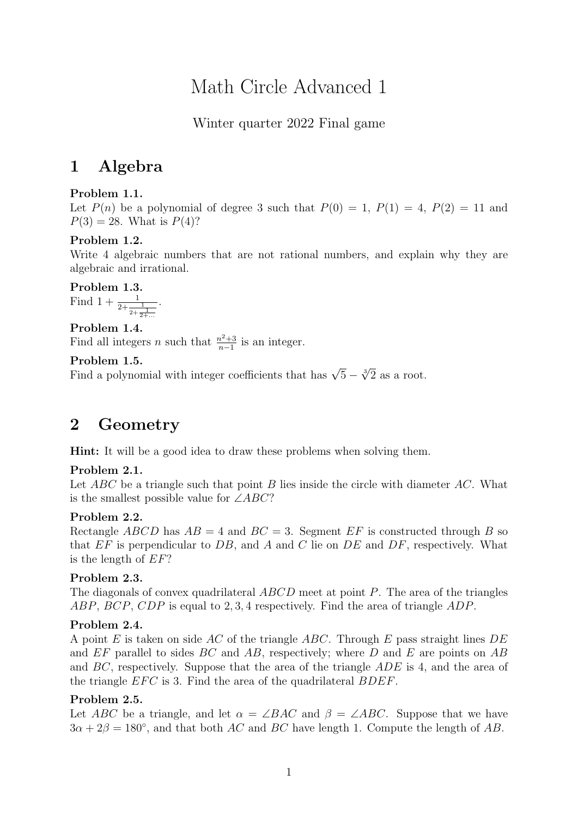# Math Circle Advanced 1

Winter quarter 2022 Final game

## 1 Algebra

#### Problem 1.1.

Let  $P(n)$  be a polynomial of degree 3 such that  $P(0) = 1$ ,  $P(1) = 4$ ,  $P(2) = 11$  and  $P(3) = 28$ . What is  $P(4)$ ?

#### Problem 1.2.

Write 4 algebraic numbers that are not rational numbers, and explain why they are algebraic and irrational.

Problem 1.3. Find  $1 + \frac{1}{2 + \frac{1}{2 + \frac{1}{2 + \dots}}}$ 

Problem 1.4. Find all integers *n* such that  $\frac{n^2+3}{n-1}$  $\frac{n^2+3}{n-1}$  is an integer.

.

#### Problem 1.5.

**Froblem 1.5.**<br>Find a polynomial with integer coefficients that has  $\sqrt{5} - \sqrt[3]{2}$  as a root.

### 2 Geometry

Hint: It will be a good idea to draw these problems when solving them.

#### Problem 2.1.

Let  $ABC$  be a triangle such that point B lies inside the circle with diameter AC. What is the smallest possible value for  $\angle ABC$ ?

#### Problem 2.2.

Rectangle ABCD has  $AB = 4$  and  $BC = 3$ . Segment EF is constructed through B so that  $EF$  is perpendicular to  $DB$ , and  $A$  and  $C$  lie on  $DE$  and  $DF$ , respectively. What is the length of EF?

#### Problem 2.3.

The diagonals of convex quadrilateral ABCD meet at point P. The area of the triangles ABP, BCP, CDP is equal to 2, 3, 4 respectively. Find the area of triangle ADP.

#### Problem 2.4.

A point E is taken on side AC of the triangle ABC. Through E pass straight lines  $DE$ and  $EF$  parallel to sides  $BC$  and  $AB$ , respectively; where  $D$  and  $E$  are points on  $AB$ and  $BC$ , respectively. Suppose that the area of the triangle  $ADE$  is 4, and the area of the triangle  $EFC$  is 3. Find the area of the quadrilateral  $BDEF$ .

#### Problem 2.5.

Let ABC be a triangle, and let  $\alpha = \angle BAC$  and  $\beta = \angle ABC$ . Suppose that we have  $3\alpha + 2\beta = 180^{\circ}$ , and that both AC and BC have length 1. Compute the length of AB.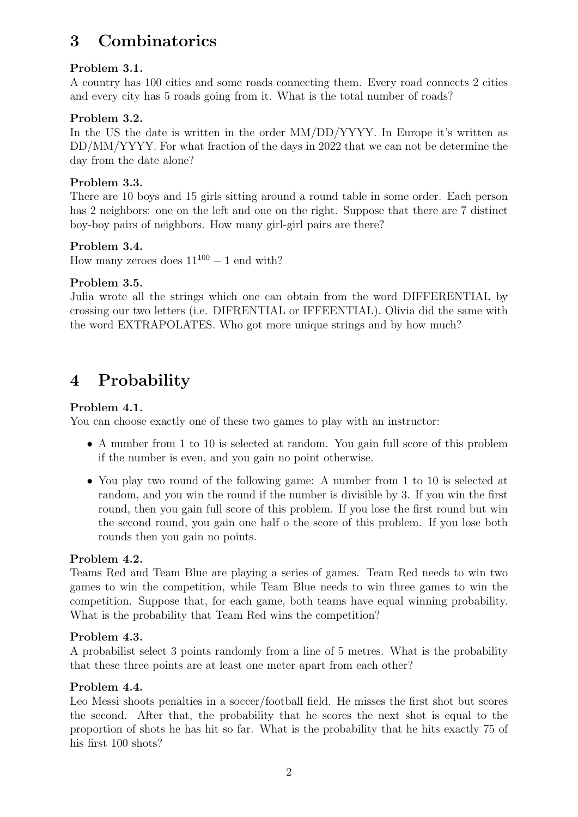## 3 Combinatorics

#### Problem 3.1.

A country has 100 cities and some roads connecting them. Every road connects 2 cities and every city has 5 roads going from it. What is the total number of roads?

#### Problem 3.2.

In the US the date is written in the order  $MM/DD/YYYY$ . In Europe it's written as DD/MM/YYYY. For what fraction of the days in 2022 that we can not be determine the day from the date alone?

#### Problem 3.3.

There are 10 boys and 15 girls sitting around a round table in some order. Each person has 2 neighbors: one on the left and one on the right. Suppose that there are 7 distinct boy-boy pairs of neighbors. How many girl-girl pairs are there?

#### Problem 3.4.

How many zeroes does  $11^{100} - 1$  end with?

#### Problem 3.5.

Julia wrote all the strings which one can obtain from the word DIFFERENTIAL by crossing our two letters (i.e. DIFRENTIAL or IFFEENTIAL). Olivia did the same with the word EXTRAPOLATES. Who got more unique strings and by how much?

### 4 Probability

#### Problem 4.1.

You can choose exactly one of these two games to play with an instructor:

- A number from 1 to 10 is selected at random. You gain full score of this problem if the number is even, and you gain no point otherwise.
- You play two round of the following game: A number from 1 to 10 is selected at random, and you win the round if the number is divisible by 3. If you win the first round, then you gain full score of this problem. If you lose the first round but win the second round, you gain one half o the score of this problem. If you lose both rounds then you gain no points.

#### Problem 4.2.

Teams Red and Team Blue are playing a series of games. Team Red needs to win two games to win the competition, while Team Blue needs to win three games to win the competition. Suppose that, for each game, both teams have equal winning probability. What is the probability that Team Red wins the competition?

#### Problem 4.3.

A probabilist select 3 points randomly from a line of 5 metres. What is the probability that these three points are at least one meter apart from each other?

#### Problem 4.4.

Leo Messi shoots penalties in a soccer/football field. He misses the first shot but scores the second. After that, the probability that he scores the next shot is equal to the proportion of shots he has hit so far. What is the probability that he hits exactly 75 of his first 100 shots?